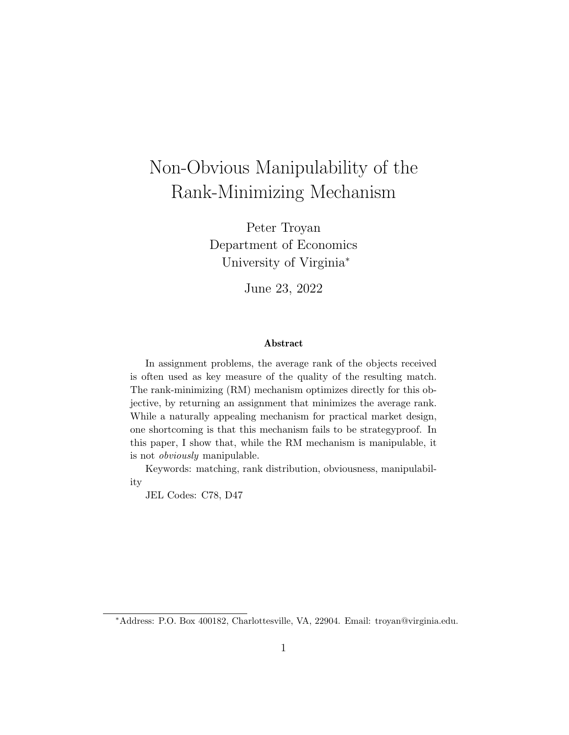# Non-Obvious Manipulability of the Rank-Minimizing Mechanism

Peter Troyan Department of Economics University of Virginia<sup>∗</sup>

June 23, 2022

#### Abstract

In assignment problems, the average rank of the objects received is often used as key measure of the quality of the resulting match. The rank-minimizing (RM) mechanism optimizes directly for this objective, by returning an assignment that minimizes the average rank. While a naturally appealing mechanism for practical market design, one shortcoming is that this mechanism fails to be strategyproof. In this paper, I show that, while the RM mechanism is manipulable, it is not obviously manipulable.

Keywords: matching, rank distribution, obviousness, manipulability

JEL Codes: C78, D47

<sup>∗</sup>Address: P.O. Box 400182, Charlottesville, VA, 22904. Email: troyan@virginia.edu.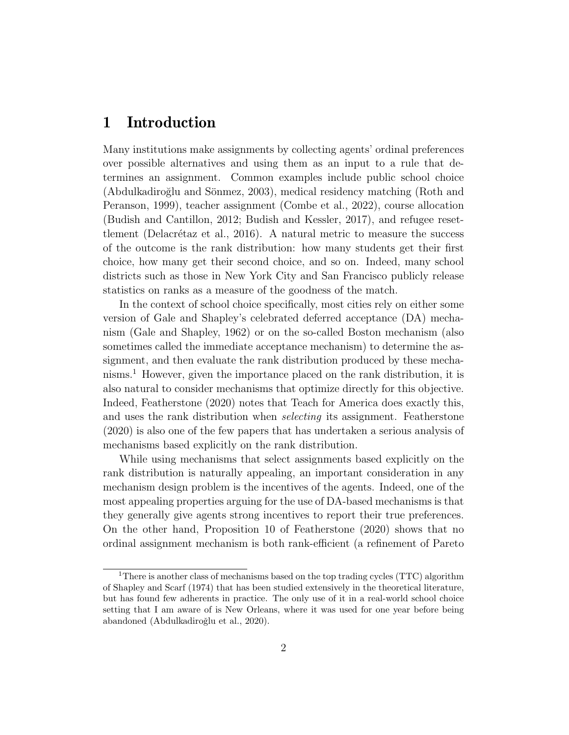#### 1 Introduction

Many institutions make assignments by collecting agents' ordinal preferences over possible alternatives and using them as an input to a rule that determines an assignment. Common examples include public school choice (Abdulkadiroğlu and Sönmez, 2003), medical residency matching (Roth and Peranson, 1999), teacher assignment (Combe et al., 2022), course allocation (Budish and Cantillon, 2012; Budish and Kessler, 2017), and refugee resettlement (Delacrétaz et al., 2016). A natural metric to measure the success of the outcome is the rank distribution: how many students get their first choice, how many get their second choice, and so on. Indeed, many school districts such as those in New York City and San Francisco publicly release statistics on ranks as a measure of the goodness of the match.

In the context of school choice specifically, most cities rely on either some version of Gale and Shapley's celebrated deferred acceptance (DA) mechanism (Gale and Shapley, 1962) or on the so-called Boston mechanism (also sometimes called the immediate acceptance mechanism) to determine the assignment, and then evaluate the rank distribution produced by these mechanisms.<sup>1</sup> However, given the importance placed on the rank distribution, it is also natural to consider mechanisms that optimize directly for this objective. Indeed, Featherstone (2020) notes that Teach for America does exactly this, and uses the rank distribution when *selecting* its assignment. Featherstone (2020) is also one of the few papers that has undertaken a serious analysis of mechanisms based explicitly on the rank distribution.

While using mechanisms that select assignments based explicitly on the rank distribution is naturally appealing, an important consideration in any mechanism design problem is the incentives of the agents. Indeed, one of the most appealing properties arguing for the use of DA-based mechanisms is that they generally give agents strong incentives to report their true preferences. On the other hand, Proposition 10 of Featherstone (2020) shows that no ordinal assignment mechanism is both rank-efficient (a refinement of Pareto

<sup>&</sup>lt;sup>1</sup>There is another class of mechanisms based on the top trading cycles (TTC) algorithm of Shapley and Scarf (1974) that has been studied extensively in the theoretical literature, but has found few adherents in practice. The only use of it in a real-world school choice setting that I am aware of is New Orleans, where it was used for one year before being abandoned (Abdulkadiroğlu et al., 2020).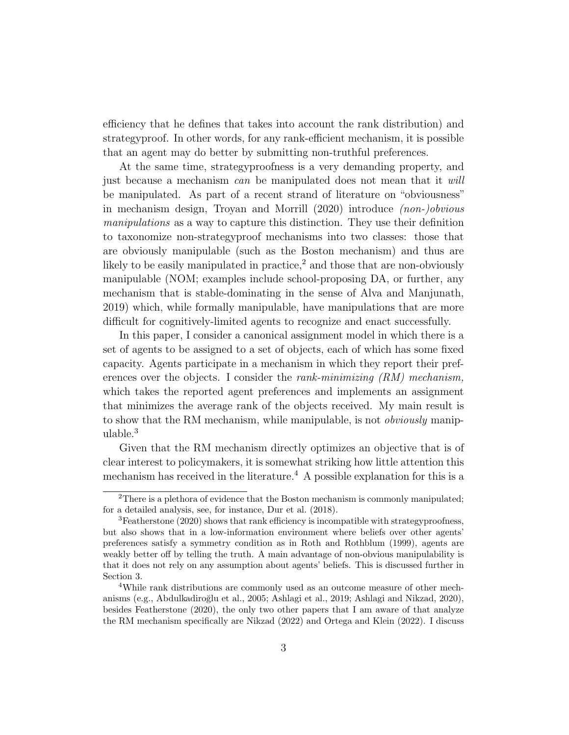efficiency that he defines that takes into account the rank distribution) and strategyproof. In other words, for any rank-efficient mechanism, it is possible that an agent may do better by submitting non-truthful preferences.

At the same time, strategyproofness is a very demanding property, and just because a mechanism can be manipulated does not mean that it will be manipulated. As part of a recent strand of literature on "obviousness" in mechanism design, Troyan and Morrill (2020) introduce (non-)obvious manipulations as a way to capture this distinction. They use their definition to taxonomize non-strategyproof mechanisms into two classes: those that are obviously manipulable (such as the Boston mechanism) and thus are likely to be easily manipulated in practice,<sup>2</sup> and those that are non-obviously manipulable (NOM; examples include school-proposing DA, or further, any mechanism that is stable-dominating in the sense of Alva and Manjunath, 2019) which, while formally manipulable, have manipulations that are more difficult for cognitively-limited agents to recognize and enact successfully.

In this paper, I consider a canonical assignment model in which there is a set of agents to be assigned to a set of objects, each of which has some fixed capacity. Agents participate in a mechanism in which they report their preferences over the objects. I consider the *rank-minimizing*  $(RM)$  mechanism, which takes the reported agent preferences and implements an assignment that minimizes the average rank of the objects received. My main result is to show that the RM mechanism, while manipulable, is not obviously manipulable.<sup>3</sup>

Given that the RM mechanism directly optimizes an objective that is of clear interest to policymakers, it is somewhat striking how little attention this mechanism has received in the literature.<sup>4</sup> A possible explanation for this is a

<sup>&</sup>lt;sup>2</sup>There is a plethora of evidence that the Boston mechanism is commonly manipulated; for a detailed analysis, see, for instance, Dur et al. (2018).

<sup>&</sup>lt;sup>3</sup>Featherstone (2020) shows that rank efficiency is incompatible with strategyproofness, but also shows that in a low-information environment where beliefs over other agents' preferences satisfy a symmetry condition as in Roth and Rothblum (1999), agents are weakly better off by telling the truth. A main advantage of non-obvious manipulability is that it does not rely on any assumption about agents' beliefs. This is discussed further in Section 3.

<sup>4</sup>While rank distributions are commonly used as an outcome measure of other mechanisms (e.g., Abdulkadiroğlu et al., 2005; Ashlagi et al., 2019; Ashlagi and Nikzad, 2020), besides Featherstone (2020), the only two other papers that I am aware of that analyze the RM mechanism specifically are Nikzad (2022) and Ortega and Klein (2022). I discuss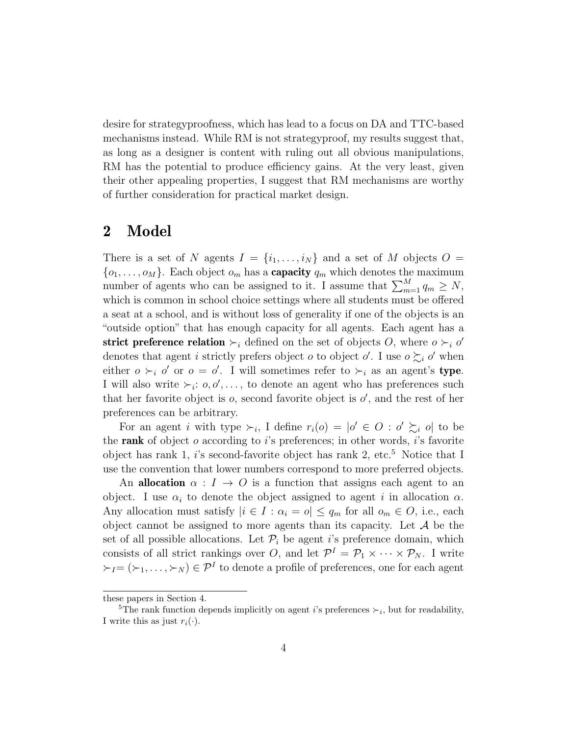desire for strategyproofness, which has lead to a focus on DA and TTC-based mechanisms instead. While RM is not strategyproof, my results suggest that, as long as a designer is content with ruling out all obvious manipulations, RM has the potential to produce efficiency gains. At the very least, given their other appealing properties, I suggest that RM mechanisms are worthy of further consideration for practical market design.

### 2 Model

There is a set of N agents  $I = \{i_1, \ldots, i_N\}$  and a set of M objects  $O =$  $\{o_1, \ldots, o_M\}$ . Each object  $o_m$  has a **capacity**  $q_m$  which denotes the maximum number of agents who can be assigned to it. I assume that  $\sum_{m=1}^{M} q_m \geq N$ , which is common in school choice settings where all students must be offered a seat at a school, and is without loss of generality if one of the objects is an "outside option" that has enough capacity for all agents. Each agent has a strict preference relation  $\succ_i$  defined on the set of objects O, where  $o \succ_i o'$ denotes that agent *i* strictly prefers object *o* to object *o'*. I use  $o \succsim_i o'$  when either  $o \succ_i o'$  or  $o = o'$ . I will sometimes refer to  $\succ_i$  as an agent's type. I will also write  $\succ_i$ :  $o, o', \ldots$ , to denote an agent who has preferences such that her favorite object is  $o$ , second favorite object is  $o'$ , and the rest of her preferences can be arbitrary.

For an agent *i* with type  $\succ_i$ , I define  $r_i(o) = |o' \in O : o' \succsim_i o|$  to be the rank of object  $o$  according to  $i$ 's preferences; in other words,  $i$ 's favorite object has rank 1, i's second-favorite object has rank 2, etc.<sup>5</sup> Notice that I use the convention that lower numbers correspond to more preferred objects.

An allocation  $\alpha: I \to O$  is a function that assigns each agent to an object. I use  $\alpha_i$  to denote the object assigned to agent i in allocation  $\alpha$ . Any allocation must satisfy  $|i \in I : \alpha_i = o| \le q_m$  for all  $o_m \in O$ , i.e., each object cannot be assigned to more agents than its capacity. Let  $A$  be the set of all possible allocations. Let  $\mathcal{P}_i$  be agent i's preference domain, which consists of all strict rankings over O, and let  $\mathcal{P}^I = \mathcal{P}_1 \times \cdots \times \mathcal{P}_N$ . I write  $\succ_I = (\succ_1, \ldots, \succ_N) \in \mathcal{P}^I$  to denote a profile of preferences, one for each agent

these papers in Section 4.

<sup>&</sup>lt;sup>5</sup>The rank function depends implicitly on agent *i*'s preferences  $\succ_i$ , but for readability, I write this as just  $r_i(\cdot)$ .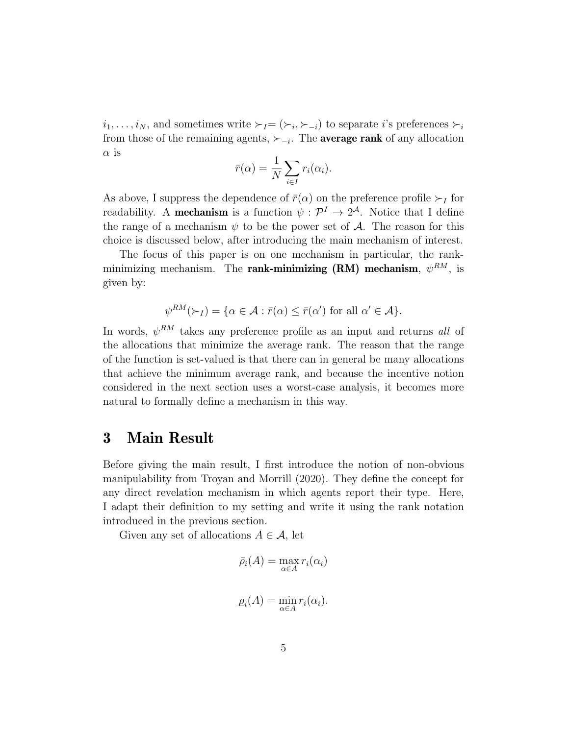$i_1, \ldots, i_N$ , and sometimes write  $\succ_l = (\succ_i, \succ_{-i})$  to separate i's preferences  $\succ_i$ from those of the remaining agents,  $\succ_{-i}$ . The **average rank** of any allocation  $\alpha$  is

$$
\bar{r}(\alpha) = \frac{1}{N} \sum_{i \in I} r_i(\alpha_i).
$$

As above, I suppress the dependence of  $\bar{r}(\alpha)$  on the preference profile  $\succ_I$  for readability. A **mechanism** is a function  $\psi : \mathcal{P}^I \to 2^{\mathcal{A}}$ . Notice that I define the range of a mechanism  $\psi$  to be the power set of A. The reason for this choice is discussed below, after introducing the main mechanism of interest.

The focus of this paper is on one mechanism in particular, the rankminimizing mechanism. The rank-minimizing  $(RM)$  mechanism,  $\psi^{RM}$ , is given by:

$$
\psi^{RM}(\succ_I) = \{ \alpha \in \mathcal{A} : \bar{r}(\alpha) \leq \bar{r}(\alpha') \text{ for all } \alpha' \in \mathcal{A} \}.
$$

In words,  $\psi^{RM}$  takes any preference profile as an input and returns all of the allocations that minimize the average rank. The reason that the range of the function is set-valued is that there can in general be many allocations that achieve the minimum average rank, and because the incentive notion considered in the next section uses a worst-case analysis, it becomes more natural to formally define a mechanism in this way.

#### 3 Main Result

Before giving the main result, I first introduce the notion of non-obvious manipulability from Troyan and Morrill (2020). They define the concept for any direct revelation mechanism in which agents report their type. Here, I adapt their definition to my setting and write it using the rank notation introduced in the previous section.

Given any set of allocations  $A \in \mathcal{A}$ , let

$$
\bar{\rho}_i(A) = \max_{\alpha \in A} r_i(\alpha_i)
$$
  

$$
\rho_i(A) = \min_{\alpha \in A} r_i(\alpha_i).
$$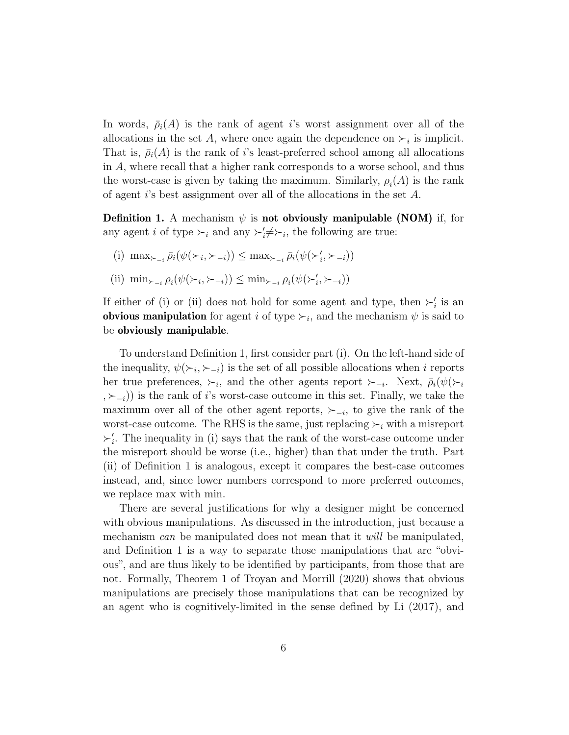In words,  $\bar{\rho}_i(A)$  is the rank of agent i's worst assignment over all of the allocations in the set A, where once again the dependence on  $\succ_i$  is implicit. That is,  $\bar{\rho}_i(A)$  is the rank of i's least-preferred school among all allocations in A, where recall that a higher rank corresponds to a worse school, and thus the worst-case is given by taking the maximum. Similarly,  $\rho_i(A)$  is the rank of agent i's best assignment over all of the allocations in the set A.

**Definition 1.** A mechanism  $\psi$  is **not obviously manipulable (NOM)** if, for any agent *i* of type  $\succ_i$  and any  $\succ'_i \neq \succ_i$ , the following are true:

- (i)  $\max_{\succ_{i} \bar{\rho}_i} (\psi(\succ_i, \succ_{i}) ) \leq \max_{\succ_{i} \bar{\rho}_i} (\psi(\succ'_i, \succ_{i}) )$
- (ii)  $\min_{\succ_{i} \rho_i} (\psi(\succ_i, \succ_{i}) ) \leq \min_{\succ_{i} \rho_i} (\psi(\succ'_i, \succ_{i}) )$

If either of (i) or (ii) does not hold for some agent and type, then  $\succ_i'$  is an obvious manipulation for agent i of type  $\succ_i$ , and the mechanism  $\psi$  is said to be obviously manipulable.

To understand Definition 1, first consider part (i). On the left-hand side of the inequality,  $\psi(\succ_i, \succ_{-i})$  is the set of all possible allocations when i reports her true preferences,  $\succ_i$ , and the other agents report  $\succ_{-i}$ . Next,  $\bar{\rho}_i(\psi(\succ_i))$  $, \succ_{i}$ )) is the rank of i's worst-case outcome in this set. Finally, we take the maximum over all of the other agent reports,  $\succ_{-i}$ , to give the rank of the worst-case outcome. The RHS is the same, just replacing  $\succ_i$  with a misreport  $\succ_i'$ . The inequality in (i) says that the rank of the worst-case outcome under the misreport should be worse (i.e., higher) than that under the truth. Part (ii) of Definition 1 is analogous, except it compares the best-case outcomes instead, and, since lower numbers correspond to more preferred outcomes, we replace max with min.

There are several justifications for why a designer might be concerned with obvious manipulations. As discussed in the introduction, just because a mechanism can be manipulated does not mean that it will be manipulated, and Definition 1 is a way to separate those manipulations that are "obvious", and are thus likely to be identified by participants, from those that are not. Formally, Theorem 1 of Troyan and Morrill (2020) shows that obvious manipulations are precisely those manipulations that can be recognized by an agent who is cognitively-limited in the sense defined by Li (2017), and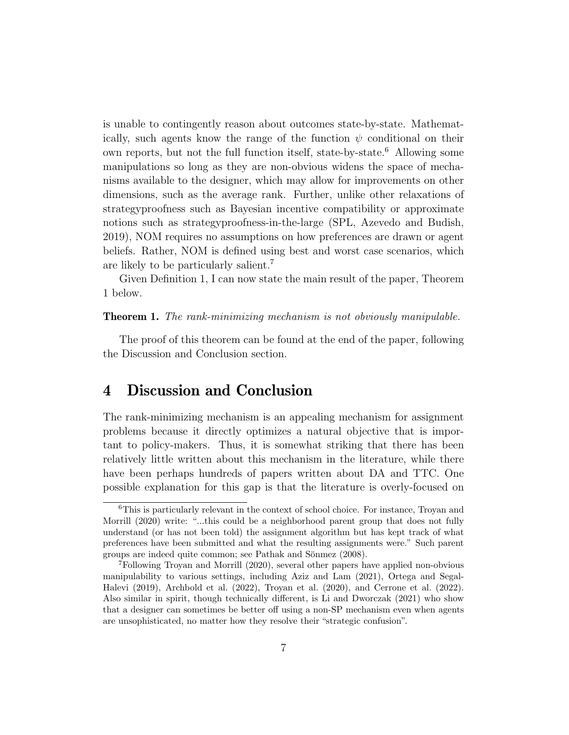is unable to contingently reason about outcomes state-by-state. Mathematically, such agents know the range of the function  $\psi$  conditional on their own reports, but not the full function itself, state-by-state.<sup>6</sup> Allowing some manipulations so long as they are non-obvious widens the space of mechanisms available to the designer, which may allow for improvements on other dimensions, such as the average rank. Further, unlike other relaxations of strategyproofness such as Bayesian incentive compatibility or approximate notions such as strategyproofness-in-the-large (SPL, Azevedo and Budish, 2019), NOM requires no assumptions on how preferences are drawn or agent beliefs. Rather, NOM is defined using best and worst case scenarios, which are likely to be particularly salient.<sup>7</sup>

Given Definition 1, I can now state the main result of the paper, Theorem 1 below.

#### **Theorem 1.** The rank-minimizing mechanism is not obviously manipulable.

The proof of this theorem can be found at the end of the paper, following the Discussion and Conclusion section.

#### 4 Discussion and Conclusion

The rank-minimizing mechanism is an appealing mechanism for assignment problems because it directly optimizes a natural objective that is important to policy-makers. Thus, it is somewhat striking that there has been relatively little written about this mechanism in the literature, while there have been perhaps hundreds of papers written about DA and TTC. One possible explanation for this gap is that the literature is overly-focused on

<sup>6</sup>This is particularly relevant in the context of school choice. For instance, Troyan and Morrill (2020) write: "...this could be a neighborhood parent group that does not fully understand (or has not been told) the assignment algorithm but has kept track of what preferences have been submitted and what the resulting assignments were." Such parent groups are indeed quite common; see Pathak and Sönmez (2008).

<sup>7</sup>Following Troyan and Morrill (2020), several other papers have applied non-obvious manipulability to various settings, including Aziz and Lam (2021), Ortega and Segal-Halevi (2019), Archbold et al. (2022), Troyan et al. (2020), and Cerrone et al. (2022). Also similar in spirit, though technically different, is Li and Dworczak (2021) who show that a designer can sometimes be better off using a non-SP mechanism even when agents are unsophisticated, no matter how they resolve their "strategic confusion".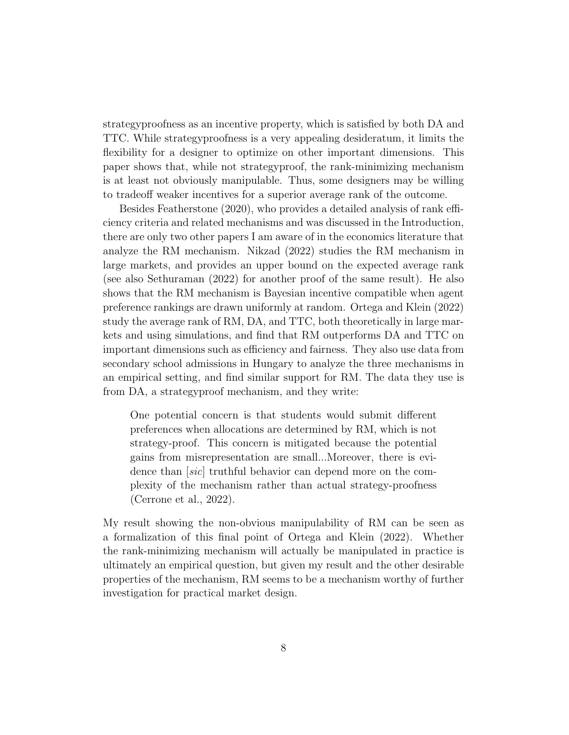strategyproofness as an incentive property, which is satisfied by both DA and TTC. While strategyproofness is a very appealing desideratum, it limits the flexibility for a designer to optimize on other important dimensions. This paper shows that, while not strategyproof, the rank-minimizing mechanism is at least not obviously manipulable. Thus, some designers may be willing to tradeoff weaker incentives for a superior average rank of the outcome.

Besides Featherstone (2020), who provides a detailed analysis of rank efficiency criteria and related mechanisms and was discussed in the Introduction, there are only two other papers I am aware of in the economics literature that analyze the RM mechanism. Nikzad (2022) studies the RM mechanism in large markets, and provides an upper bound on the expected average rank (see also Sethuraman (2022) for another proof of the same result). He also shows that the RM mechanism is Bayesian incentive compatible when agent preference rankings are drawn uniformly at random. Ortega and Klein (2022) study the average rank of RM, DA, and TTC, both theoretically in large markets and using simulations, and find that RM outperforms DA and TTC on important dimensions such as efficiency and fairness. They also use data from secondary school admissions in Hungary to analyze the three mechanisms in an empirical setting, and find similar support for RM. The data they use is from DA, a strategyproof mechanism, and they write:

One potential concern is that students would submit different preferences when allocations are determined by RM, which is not strategy-proof. This concern is mitigated because the potential gains from misrepresentation are small...Moreover, there is evidence than [sic] truthful behavior can depend more on the complexity of the mechanism rather than actual strategy-proofness (Cerrone et al., 2022).

My result showing the non-obvious manipulability of RM can be seen as a formalization of this final point of Ortega and Klein (2022). Whether the rank-minimizing mechanism will actually be manipulated in practice is ultimately an empirical question, but given my result and the other desirable properties of the mechanism, RM seems to be a mechanism worthy of further investigation for practical market design.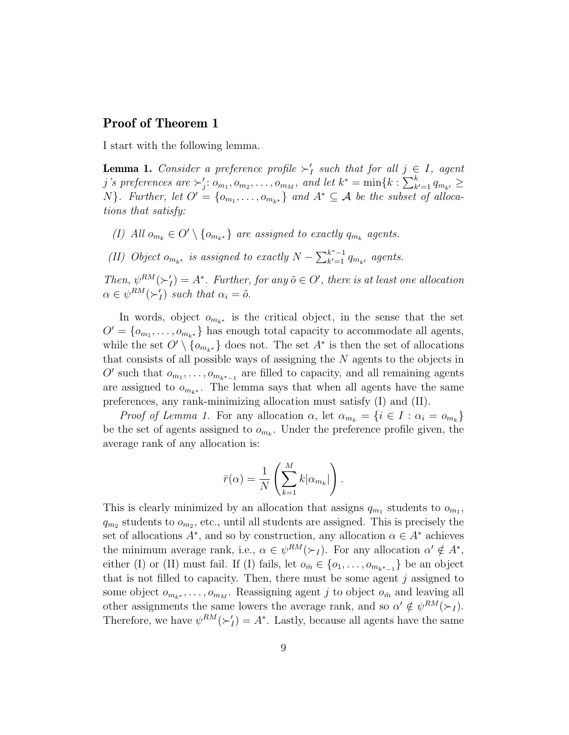#### Proof of Theorem 1

I start with the following lemma.

**Lemma 1.** Consider a preference profile  $\succ'_I$  such that for all  $j \in I$ , agent j's preferences are  $\succ'_j: o_{m_1}, o_{m_2}, \ldots, o_{m_M}$ , and let  $k^* = \min\{k : \sum_{k'=1}^k q_{m_{k'}} \geq$ N}. Further, let  $O' = \{o_{m_1}, \ldots, o_{m_{k^*}}\}$  and  $A^* \subseteq \mathcal{A}$  be the subset of allocations that satisfy:

(I) All  $o_{m_k} \in O' \setminus \{o_{m_{k^*}}\}\$ are assigned to exactly  $q_{m_k}$  agents.

(II) Object  $o_{m_{k^*}}$  is assigned to exactly  $N - \sum_{k'=1}^{k^*-1}$  $\frac{k^2-1}{k^2-1}$   $q_{m_{k'}}$  agents.

Then,  $\psi^{RM}(\succ'_I) = A^*$ . Further, for any  $\tilde{o} \in O'$ , there is at least one allocation  $\alpha \in \psi^{RM}(\succ'_I)$  such that  $\alpha_i = \tilde{o}$ .

In words, object  $o_{m_{k^*}}$  is the critical object, in the sense that the set  $O' = \{o_{m_1}, \ldots, o_{m_{k^*}}\}\$  has enough total capacity to accommodate all agents, while the set  $O' \setminus \{o_{m_{k^*}}\}$  does not. The set  $A^*$  is then the set of allocations that consists of all possible ways of assigning the N agents to the objects in O' such that  $o_{m_1}, \ldots, o_{m_{k^*-1}}$  are filled to capacity, and all remaining agents are assigned to  $o_{m_{k^*}}$ . The lemma says that when all agents have the same preferences, any rank-minimizing allocation must satisfy (I) and (II).

*Proof of Lemma 1.* For any allocation  $\alpha$ , let  $\alpha_{m_k} = \{i \in I : \alpha_i = o_{m_k}\}\$ be the set of agents assigned to  $o_{m_k}$ . Under the preference profile given, the average rank of any allocation is:

$$
\bar{r}(\alpha) = \frac{1}{N} \left( \sum_{k=1}^{M} k |\alpha_{m_k}| \right).
$$

This is clearly minimized by an allocation that assigns  $q_{m_1}$  students to  $o_{m_1}$ ,  $q_{m_2}$  students to  $o_{m_2}$ , etc., until all students are assigned. This is precisely the set of allocations  $A^*$ , and so by construction, any allocation  $\alpha \in A^*$  achieves the minimum average rank, i.e.,  $\alpha \in \psi^{RM}(\succ_I)$ . For any allocation  $\alpha' \notin A^*$ , either (I) or (II) must fail. If (I) fails, let  $o_{\hat{m}} \in \{o_1, \ldots, o_{m_{k^*-1}}\}$  be an object that is not filled to capacity. Then, there must be some agent  $j$  assigned to some object  $o_{m_{k^*}}, \ldots, o_{m_M}$ . Reassigning agent j to object  $o_{\hat{m}}$  and leaving all other assignments the same lowers the average rank, and so  $\alpha' \notin \psi^{RM}(\succ_I)$ . Therefore, we have  $\psi^{RM}(\succ'_I) = A^*$ . Lastly, because all agents have the same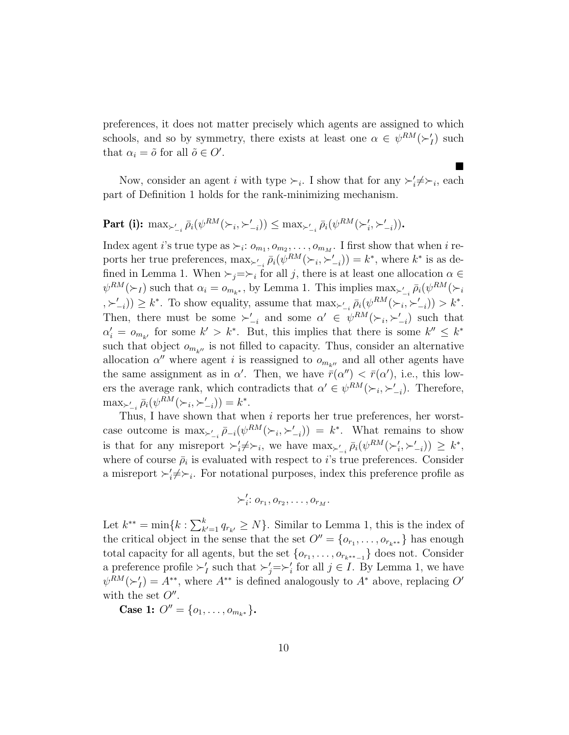preferences, it does not matter precisely which agents are assigned to which schools, and so by symmetry, there exists at least one  $\alpha \in \psi^{RM}(\succ_I')$  such that  $\alpha_i = \tilde{o}$  for all  $\tilde{o} \in O'.$ 

Now, consider an agent i with type  $\succ_i$ . I show that for any  $\succ'_i \neq \succ_i$ , each part of Definition 1 holds for the rank-minimizing mechanism.

 $\blacksquare$ 

### $\textbf{Part (i):} \ \ \max_{\succ'_{-i}} \bar{\rho}_i(\psi^{RM}(\succ_i, \succ'_{-i})) \leq \max_{\succ'_{-i}} \bar{\rho}_i(\psi^{RM}(\succ'_i, \succ'_{-i})).$

Index agent *i*'s true type as  $\succ_i$ :  $o_{m_1}, o_{m_2}, \ldots, o_{m_M}$ . I first show that when *i* reports her true preferences,  $\max_{\substack{\lambda, \lambda \in \mathbb{Z}^d}} \bar{\rho}_i(\psi^{RM}(\succ_i, \succ_{-i}')) = k^*$ , where  $k^*$  is as defined in Lemma 1. When  $\succ_j=\succ_i$  for all j, there is at least one allocation  $\alpha \in$  $\psi^{RM}(\succ_l)$  such that  $\alpha_i = o_{m_{k^*}}$ , by Lemma 1. This implies  $\max_{\succ'_{-i}} \bar{\rho}_i(\psi^{RM}(\succ_i$  $(\forall \xi \succ_{-i})$ )  $\geq k^*$ . To show equality, assume that  $\max_{\xi \succ_{-i}} \bar{\rho}_i(\psi^{RM}(\succ_i, \succ'_{-i})) > k^*$ . Then, there must be some  $\succ'_{-i}$  and some  $\alpha' \in \psi^{RM}(\succ_i, \succ'_{-i})$  such that  $\alpha'_i = o_{m_{k'}}$  for some  $k' > k^*$ . But, this implies that there is some  $k'' \leq k^*$ such that object  $o_{m_{k''}}$  is not filled to capacity. Thus, consider an alternative allocation  $\alpha''$  where agent i is reassigned to  $o_{m_{k''}}$  and all other agents have the same assignment as in  $\alpha'$ . Then, we have  $\bar{r}(\alpha'') < \bar{r}(\alpha')$ , i.e., this lowers the average rank, which contradicts that  $\alpha' \in \psi^{RM}(\succ_i, \succ'_{-i})$ . Therefore,  $\max_{\succ'_{-i}} \bar{\rho}_i(\psi^{RM}(\succ_i,\succ'_{-i})) = k^*.$ 

Thus, I have shown that when i reports her true preferences, her worstcase outcome is  $\max_{i} \sum_{i} \bar{\rho}_{-i}(\psi^{RM}(\succ_i, \succ'_{-i})) = k^*$ . What remains to show is that for any misreport  $\succ_i^{\prime} \neq \succ_i$ , we have  $\max_{\succ_{-i}} \bar{\rho}_i(\psi^{RM}(\succ_i^{\prime}, \succ_{-i}^{\prime})) \geq k^*$ , where of course  $\bar{\rho}_i$  is evaluated with respect to *i*'s true preferences. Consider a misreport  $\succ_i^{\prime} \neq \succ_i$ . For notational purposes, index this preference profile as

$$
\succ'_i: o_{r_1}, o_{r_2}, \ldots, o_{r_M}.
$$

Let  $k^{**} = \min\{k : \sum_{k'=1}^k q_{r_{k'}} \ge N\}$ . Similar to Lemma 1, this is the index of the critical object in the sense that the set  $O'' = \{o_{r_1}, \ldots, o_{r_{k^{**}}}\}\)$  has enough total capacity for all agents, but the set  $\{o_{r_1}, \ldots, o_{r_{k^{**}-1}}\}$  does not. Consider a preference profile  $\succ'_I$  such that  $\succ'_j=\succ'_i$  for all  $j\in I$ . By Lemma 1, we have  $\psi^{RM}(\succ_I') = A^{**}$ , where  $A^{**}$  is defined analogously to  $A^*$  above, replacing O' with the set  $O''$ .

Case 1:  $O'' = \{o_1, \ldots, o_{m_{k^*}}\}.$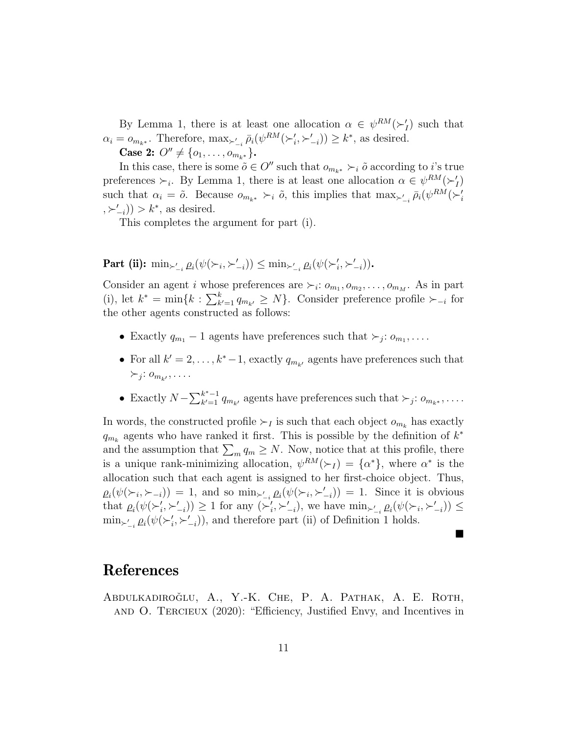By Lemma 1, there is at least one allocation  $\alpha \in \psi^{RM}(\succ'_I)$  such that  $\alpha_i = o_{m_{k^*}}$ . Therefore,  $\max_{\substack{\lambda \vdash i}} \bar{\rho}_i(\psi^{RM}(\succ_i', \succ_{-i}')) \geq k^*$ , as desired.

Case 2:  $O'' \neq \{o_1, \ldots, o_{m_{k^*}}\}.$ 

In this case, there is some  $\tilde{o} \in O''$  such that  $o_{m_{k^*}} \succ_i \tilde{o}$  according to i's true preferences  $\succ_i$ . By Lemma 1, there is at least one allocation  $\alpha \in \psi^{RM}(\succ'_I)$ such that  $\alpha_i = \tilde{o}$ . Because  $o_{m_{k^*}} \succ_i \tilde{o}$ , this implies that  $\max_{\succ'_{-i}} \bar{\rho}_i(\psi^{RM}(\succ'_i$  $(\succ_{-i}^{\prime})) > k^*$ , as desired.

This completes the argument for part (i).

### Part (ii):  $\min_{\succ'_{-i}} \varrho_i(\psi(\succ_i, \succ'_{-i})) \leq \min_{\succ'_{-i}} \varrho_i(\psi(\succ'_i, \succ'_{-i}))$ .

Consider an agent *i* whose preferences are  $\succ_i: o_{m_1}, o_{m_2}, \ldots, o_{m_M}$ . As in part (i), let  $k^* = \min\{k : \sum_{k'=1}^k q_{m_{k'}} \ge N\}$ . Consider preference profile  $\succ_{-i}$  for the other agents constructed as follows:

- Exactly  $q_{m_1} 1$  agents have preferences such that  $\succ_j : o_{m_1}, \ldots$
- For all  $k' = 2, \ldots, k^* 1$ , exactly  $q_{m_{k'}}$  agents have preferences such that  $\succ_j: o_{m_{k'}}, \ldots$
- Exactly  $N \sum_{k'=1}^{k^*-1}$  $\sum_{k'=1}^{k^*-1} q_{m_{k'}}$  agents have preferences such that  $\succ_j: o_{m_{k^*}}, \ldots$ .

In words, the constructed profile  $\succ_I$  is such that each object  $o_{m_k}$  has exactly  $q_{m_k}$  agents who have ranked it first. This is possible by the definition of  $k^*$ and the assumption that  $\sum_{m} q_m \geq N$ . Now, notice that at this profile, there is a unique rank-minimizing allocation,  $\psi^{RM}(\succ_I) = {\alpha^*}$ , where  $\alpha^*$  is the allocation such that each agent is assigned to her first-choice object. Thus,  $\rho_i(\psi(\succ_i, \succ_{-i})) = 1$ , and so  $\min_{\succ'_{-i}} \rho_i(\psi(\succ_i, \succ'_{-i})) = 1$ . Since it is obvious that  $\rho_i(\psi(\succ_i', \succ_{-i}')) \ge 1$  for any  $(\succ_i', \succ_{-i}'),$  we have  $\min_{\succ_{-i}'} \rho_i(\psi(\succ_i, \succ_{-i}')) \le$  $\min_{\substack{\succ_i}} \varrho_i(\psi(\succ_i', \succ_{-i}'))$ , and therefore part (ii) of Definition 1 holds.

 $\blacksquare$ 

## References

ABDULKADIROĞLU, A., Y.-K. CHE, P. A. PATHAK, A. E. ROTH, and O. Tercieux (2020): "Efficiency, Justified Envy, and Incentives in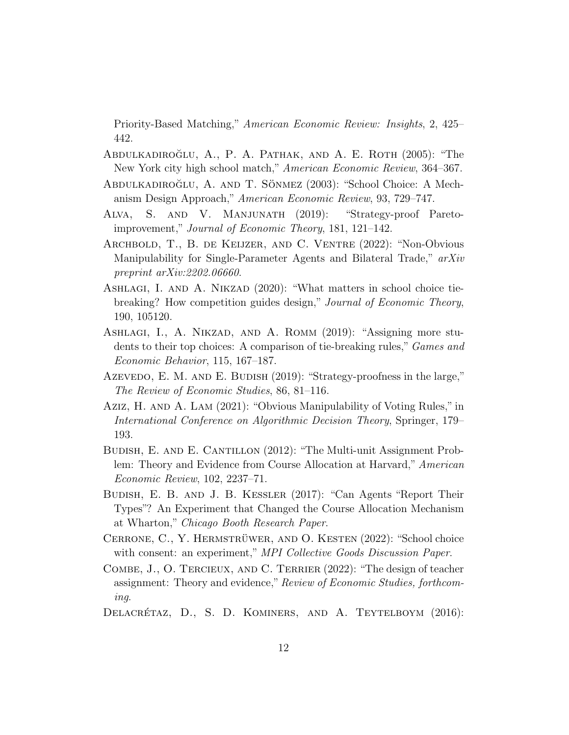Priority-Based Matching," American Economic Review: Insights, 2, 425– 442.

- ABDULKADIROĞLU, A., P. A. PATHAK, AND A. E. ROTH (2005): "The New York city high school match," American Economic Review, 364–367.
- ABDULKADIROĞLU, A. AND T. SÖNMEZ (2003): "School Choice: A Mechanism Design Approach," American Economic Review, 93, 729–747.
- Alva, S. and V. Manjunath (2019): "Strategy-proof Paretoimprovement," Journal of Economic Theory, 181, 121–142.
- Archbold, T., B. de Keijzer, and C. Ventre (2022): "Non-Obvious Manipulability for Single-Parameter Agents and Bilateral Trade," arXiv preprint arXiv:2202.06660.
- ASHLAGI, I. AND A. NIKZAD (2020): "What matters in school choice tiebreaking? How competition guides design," Journal of Economic Theory, 190, 105120.
- Ashlagi, I., A. Nikzad, and A. Romm (2019): "Assigning more students to their top choices: A comparison of tie-breaking rules," Games and Economic Behavior, 115, 167–187.
- Azevedo, E. M. AND E. BUDISH (2019): "Strategy-proofness in the large," The Review of Economic Studies, 86, 81–116.
- Aziz, H. and A. Lam (2021): "Obvious Manipulability of Voting Rules," in International Conference on Algorithmic Decision Theory, Springer, 179– 193.
- BUDISH, E. AND E. CANTILLON (2012): "The Multi-unit Assignment Problem: Theory and Evidence from Course Allocation at Harvard," American Economic Review, 102, 2237–71.
- Budish, E. B. and J. B. Kessler (2017): "Can Agents "Report Their Types"? An Experiment that Changed the Course Allocation Mechanism at Wharton," Chicago Booth Research Paper.
- CERRONE, C., Y. HERMSTRÜWER, AND O. KESTEN  $(2022)$ : "School choice with consent: an experiment," MPI Collective Goods Discussion Paper.
- Combe, J., O. Tercieux, and C. Terrier (2022): "The design of teacher assignment: Theory and evidence," Review of Economic Studies, forthcoming.
- DELACRÉTAZ, D., S. D. KOMINERS, AND A. TEYTELBOYM (2016):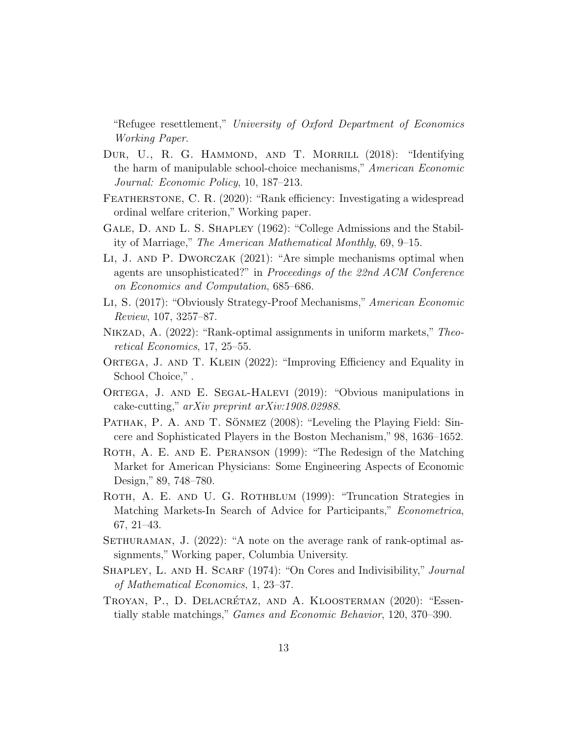"Refugee resettlement," University of Oxford Department of Economics Working Paper.

- DUR, U., R. G. HAMMOND, AND T. MORRILL (2018): "Identifying the harm of manipulable school-choice mechanisms," American Economic Journal: Economic Policy, 10, 187–213.
- FEATHERSTONE, C. R. (2020): "Rank efficiency: Investigating a widespread ordinal welfare criterion," Working paper.
- Gale, D. and L. S. Shapley (1962): "College Admissions and the Stability of Marriage," The American Mathematical Monthly, 69, 9–15.
- Li, J. and P. Dworczak (2021): "Are simple mechanisms optimal when agents are unsophisticated?" in Proceedings of the 22nd ACM Conference on Economics and Computation, 685–686.
- Li, S. (2017): "Obviously Strategy-Proof Mechanisms," American Economic Review, 107, 3257–87.
- NIKZAD, A. (2022): "Rank-optimal assignments in uniform markets," Theoretical Economics, 17, 25–55.
- ORTEGA, J. AND T. KLEIN (2022): "Improving Efficiency and Equality in School Choice,".
- ORTEGA, J. AND E. SEGAL-HALEVI (2019): "Obvious manipulations in cake-cutting," arXiv preprint arXiv:1908.02988.
- PATHAK, P. A. AND T. SÖNMEZ (2008): "Leveling the Playing Field: Sincere and Sophisticated Players in the Boston Mechanism," 98, 1636–1652.
- ROTH, A. E. AND E. PERANSON (1999): "The Redesign of the Matching Market for American Physicians: Some Engineering Aspects of Economic Design," 89, 748–780.
- ROTH, A. E. AND U. G. ROTHBLUM (1999): "Truncation Strategies in Matching Markets-In Search of Advice for Participants," Econometrica, 67, 21–43.
- SETHURAMAN, J. (2022): "A note on the average rank of rank-optimal assignments," Working paper, Columbia University.
- SHAPLEY, L. AND H. SCARF (1974): "On Cores and Indivisibility," *Journal* of Mathematical Economics, 1, 23–37.
- TROYAN, P., D. DELACRÉTAZ, AND A. KLOOSTERMAN (2020): "Essentially stable matchings," Games and Economic Behavior, 120, 370–390.